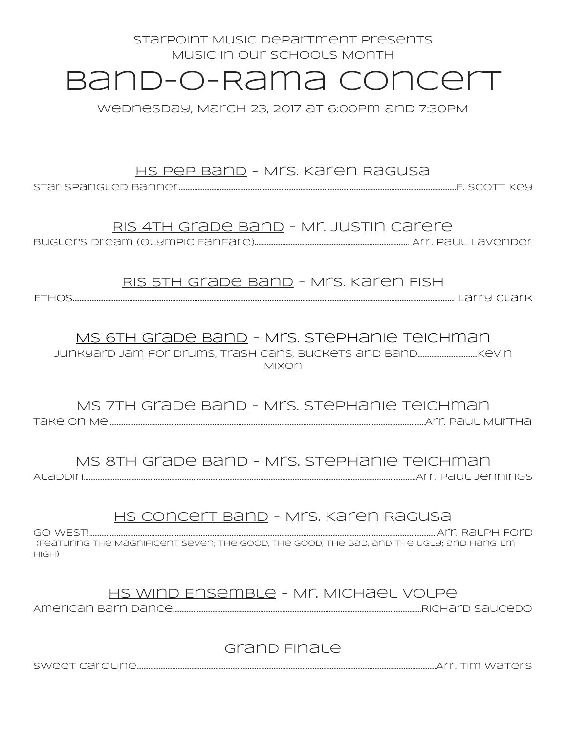# Starpoint Music Department presents Music in our Schools Month Band-o-Rama Concert

Wednesday, March 23, 2017 at 6:00pm and 7:30PM

## HS Pep Band - Mrs. Karen Ragusa

Star Spangled Banner…………………………….……………………………………………………………………………….……………………………….F. Scott Key

## RIS 4th Grade Band - Mr. Justin Carere

Bugler's Dream (Olympic Fanfare).......................................................................................... Arr. Paul Lavender

RIS 5th Grade Band - Mrs. Karen Fish

Ethos…………………………………………………………………………………………………………………………………………………….……………………………………………… Larry Clark

## MS 6th Grade Band - Mrs. Stephanie Teichman

Junkyard Jam for Drums, Trash Cans, Buckets and Band…………………….……….Kevin Mixon

MS 7th Grade Band - Mrs. Stephanie Teichman Take On Me……………………………...……………………………………………………………………………………….………………………………………….Arr. Paul Murtha

MS 8th Grade Band - Mrs. Stephanie Teichman

Aladdin…………………………………………………………………………………………………………………………………………………..………………………Arr. Paul Jennings

## HS Concert Band - Mrs. Karen Ragusa

GO WEST!...........................................................................................................................................................................................................Arr. Ralph Ford (Featuring The Magnificent Seven; The Good, The Good, The Bad, and The Ugly; and Hang 'Em High)

## HS Wind Ensemble - Mr. Michael Volpe

American Barn Dance……………………………………………………………………………………………………………………………….Richard Saucedo

## Grand Finale

Sweet Caroline………………………………………………………………………………………………………………………………………………………….Arr. Tim Waters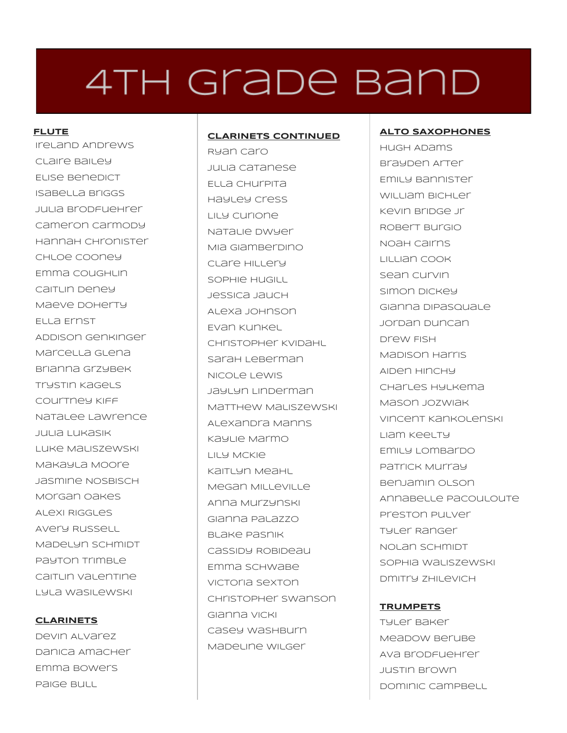# 4TH Grade Band

## **FLUTE**

Ireland Andrews Claire Bailey Elise Benedict Isabella Briggs Julia Brodfuehrer Cameron Carmody Hannah Chronister Chloe Cooney Emma coughun Caitlin Deney Maeve Doherty Ella Ernst Addison Genkinger Marcella Glena Brianna Grzybek Trystin Kagels Courtney Kiff Natalee Lawrence Julia Lukasik Luke Maliszewski Makayla Moore Jasmine Nosbisch Morgan Oakes Alexi Riggles Avery Russell Madelyn Schmidt Payton Trimble caitun valentine Lyla Wasilewski

## **CLARINETS**

Devin Alvarez Danica Amacher Emma Bowers Paige Bull

### **CLARINETS CONTINUED**

Ryan Caro Julia Catanese Ella Churpita Hayley Cress Lily Curione Natalie Dwyer Mia Giamberdino Clare Hillery Sophie Hugill Jessica Jauch Alexa Johnson Evan Kunkel Christopher Kvidahl Sarah Leberman Nicole Lewis Jaylyn Linderman Matthew Maliszewski Alexandra Manns Kaylie Marmo Lily McKie Kaitlyn Meahl Megan Milleville Anna Murzynski Gianna Palazzo Blake Pasnik Cassidy Robideau Emma Schwabe Victoria Sexton Christopher Swanson Gianna Vicki Casey Washburn Madeline Wilger

## **ALTO SAXOPHONES**

Hugh Adams Brayden Arter Emily Bannister WILLIAM BICHLET Kevin Bridge Jr Robert Burgio Noah Cairns Lillian Cook Sean Curvin Simon Dickey Gianna DiPasquale Jordan Duncan Drew Fish Madison Harris Aiden Hinchy Charles Hylkema Mason Jozwiak Vincent Kankolenski Liam Keelty Emily Lombardo Patrick Murray Benjamin Olson Annabelle Pacouloute Preston Pulver Tyler Ranger Nolan Schmidt Sophia Waliszewski Dmitry Zhilevich

## **TRUMPETS**

Tyler Baker Meadow Berube Ava Brodfuehrer Justin Brown Dominic Campbell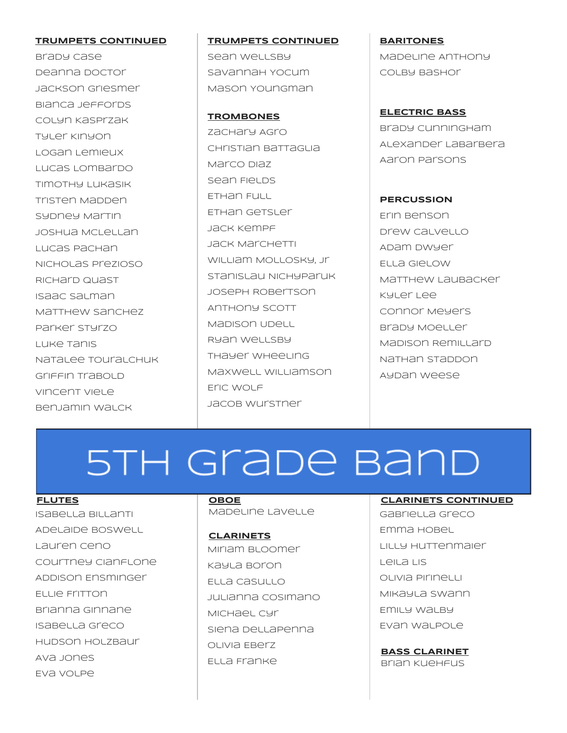### **TRUMPETS CONTINUED**

Brady Case Deanna Doctor Jackson Griesmer Bianca Jeffords Colyn Kasprzak Tyler Kinyon Logan Lemieux Lucas Lombardo Timothy Lukasik Tristen Madden Sydney Martin Joshua McLellan Lucas Pachan Nicholas Prezioso Richard Quast Isaac Salman Matthew sanchez Parker Styrzo Luke Tanis Natalee Touralchuk Griffin Trabold Vincent Viele Benjamin Walck

## **TRUMPETS CONTINUED** Sean Wellsby

Savannah Yocum Mason Youngman

#### **TROMBONES**

zachary *AGro* Christian Battaglia Marco Diaz Sean Fields Ethan Full Ethan Getsler Jack Kempf Jack Marchetti William Mollosky, Jr Stanislau Nichyparuk Joseph Robertson Anthony Scott Madison Udell Ryan Wellsby Thayer Wheeling Maxwell Williamson Eric Wolf Jacob wurstner

**BARITONES** Madeline Anthony Colby Bashor

## **ELECTRIC BASS**

Brady Cunningham Alexander LaBarbera Aaron Parsons

### **PERCUSSION**

Erin Benson Drew Calvello Adam Dwyer Ella Gielow Matthew Laubacker Kyler Lee Connor Meyers Brady Moeller Madison Remillard Nathan Staddon Aydan Weese

# 5TH Grade Band

### **FLUTES**

Isabella Billanti Adelaide Boswell Lauren Ceno Courtney Cianflone Addison Ensminger Ellie Fritton Brianna Ginnane Isabella Greco Hudson Holzbaur Ava Jones Eva Volpe

## **OBOE**

Madeline Lavelle

#### **CLARINETS**

Miriam Bloomer Kayla Boron Ella Casullo Julianna Cosimano Michael Cyr Siena Dellapenna Olivia Eberz Ella Franke

## **CLARINETS CONTINUED**

Gabriella Greco Emma Hobel LILLY HUTTenmaier Leila Lis Olivia Pirinelli Mikayla Swann Emily Walby Evan Walpole

## **BASS CLARINET** Brian Kuehfus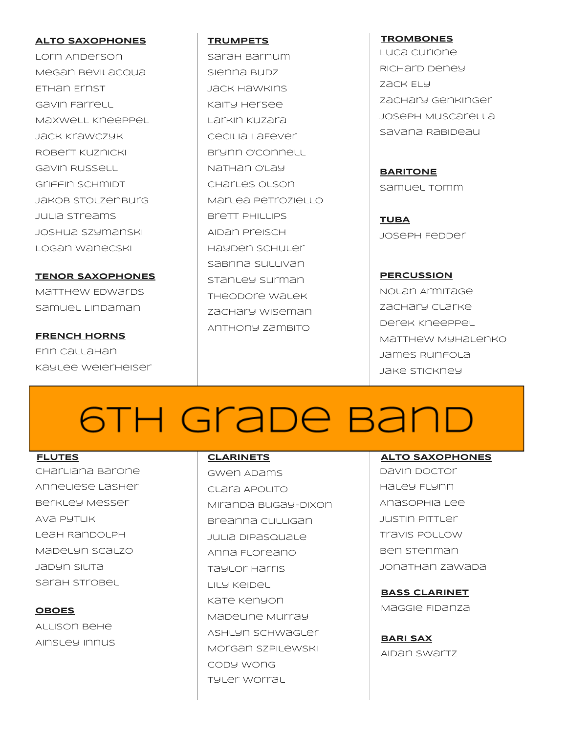## **ALTO SAXOPHONES**

Lorn Anderson Megan Bevilacqua Ethan Ernst Gavin Farrell Maxwell Kneeppel Jack Krawczyk Robert Kuznicki Gavin Russell Griffin Schmidt Jakob Stolzenburg Julia Streams Joshua Szymanski Logan Wanecski

**TENOR SAXOPHONES** Matthew Edwards Samuel Lindaman

## **FRENCH HORNS**

Erin Callahan Kaylee Weierheiser

## **TRUMPETS** Sarah Barnum

Sienna Budz Jack Hawkins Kaity Hersee Larkin Kuzara Cecilia LaFever Brynn O'Connell Nathan O'Lay Charles Olson Marlea Petroziello Brett Phillips Aidan Preisch Hayden Schuler Sabrina Sullivan Stanley Surman Theodore Walek zachary wiseman Anthony Zambito

## **TROMBONES**

Luca Curione Richard Deney Zack Ely Zachary Genkinger Joseph Muscarella Savana Rabideau

**BARITONE** Samuel Tomm

**TUBA** Joseph Fedder

## **PERCUSSION**

Nolan Armitage Zachary Clarke Derek Kneeppel Matthew Myhalenko James Runfola Jake Stickney

# 6TH GraDe Band

## **FLUTES**

Charliana Barone Anneliese Lasher Berkley Messer Ava Pytlik Leah Randolph Madelyn Scalzo Jadyn Siuta Sarah Strobel

## **OBOES**

Allison Behe Ainsley Innus

## **CLARINETS**

Gwen Adams Clara Apolito Miranda Bugay-Dixon Breanna cullugan Julia DiPasquale Anna Floreano Taylor Harris Lily Keidel Kate Kenyon Madeline Murray Ashlyn Schwagler Morgan Szpilewski Cody Wong Tyler Worral

## **ALTO SAXOPHONES**

Davin Doctor Haley Flynn AnaSophia Lee Justin Pittler Travis Pollow Ben Stenman Jonathan Zawada

**BASS CLARINET**

Maggie Fidanza

**BARI SAX** Aidan Swartz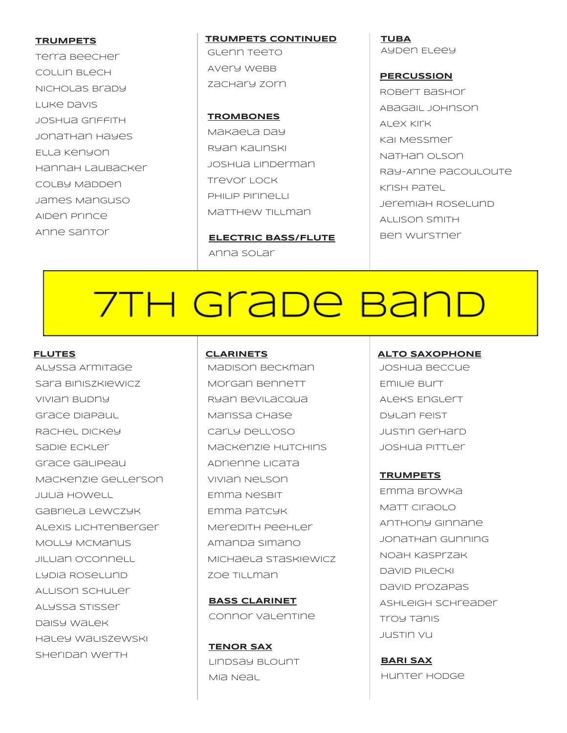#### **TRUMPETS**

Terra Beecher Collin Blech Nicholas Brady Luke Davis Joshua Griffith Jonathan Hayes Ella Kenyon Hannah Laubacker Colby Madden James Manguso Aiden Prince Anne Santor

**TRUMPETS CONTINUED** Glenn Teeto Avery Webb zachary zorn

**TROMBONES** Makaela Day Ryan Kalinski Joshua Linderman Trevor Lock Philip Pirinelli Matthew Tillman

**ELECTRIC BASS/FLUTE** Anna Solar

**TUBA** Ayden Eleey

**PERCUSSION** Robert Bashor Abagail Johnson Alex Kirk Kai Messmer Nathan Olson Ray-Anne Pacouloute Krish Patel Jeremiah Roselund Allison Smith Ben Wurstner

# 7TH Grabe Band

#### **FLUTES**

Alyssa Armitage Sara Biniszkiewicz Vivian Budny Grace DiaPaul Rachel Dickey Sadie Eckler Grace Galipeau Mackenzie Gellerson Julia Howell Gabriela Lewczyk Alexis Lichtenberger Molly McManus JILLIan <sub>O'Connell</sub> Lydia Roselund Allison Schuler Alyssa Stisser Daisy Walek Haley Waliszewski SHeripan werth

### **CLARINETS**

Madison Beckman Morgan Bennett Ryan Bevilacqua Marissa Chase Carly Dell'Oso Mackenzie Hutchins Adrienne Licata Vivian Nelson Emma Nesbit Emma Patcyk Meredith Peehler Amanda Simano Michaela Staskiewicz zoe Tillman

**BASS CLARINET** Connor Valentine

**TENOR SAX** Lindsay Blount Mia Neal

#### **ALTO SAXOPHONE**

Joshua Beccue Emilie Burt Aleks Englert Dylan Feist Justin Gerhard Joshua Pittler

#### **TRUMPETS**

Emma Browka Matt Ciraolo Anthony Ginnane Jonathan Gunning Noah Kasprzak David Pilecki David Prozapas Ashleigh Schreader Troy Tanis Justin Vu

**BARI SAX** Hunter Hodge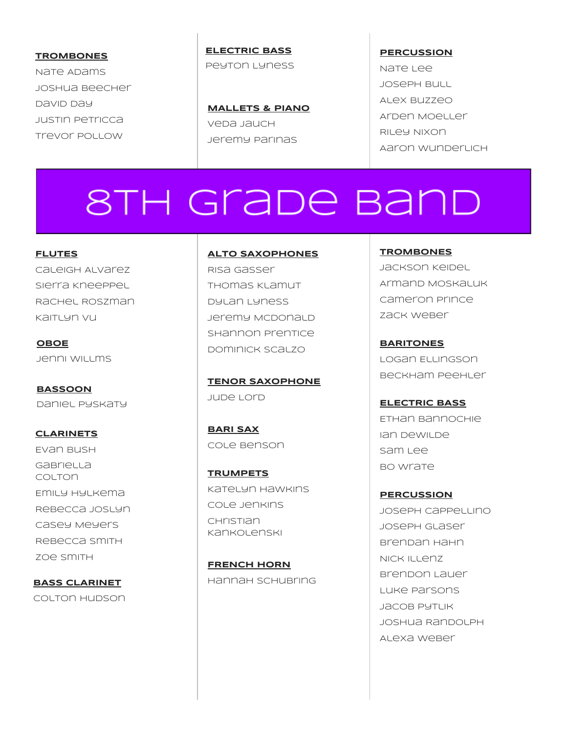**TROMBONES** Nate Adams Joshua Beecher David Day Justin Petricca Trevor Pollow

**ELECTRIC BASS** Peyton Lyness

**MALLETS & PIANO** Veda Jauch Jeremy Parinas

**PERCUSSION** Nate Lee Joseph Bull Alex Buzzeo

Arden Moeller Riley Nixon Aaron Wunderlich

# **8TH Grade Band**

**FLUTES** Caleigh Alvarez Sierra Kneeppel Rachel Roszman Kaitlyn Vu

**OBOE** Jenni Willms

**BASSOON** Daniel Pyskaty

**CLARINETS** Evan Bush **Gabriella** Colton Emily Hylkema Rebecca Joslyn Casey Meyers Rebecca Smith Zoe Smith

**BASS CLARINET** Colton Hudson

### **ALTO SAXOPHONES**

Risa Gasser Thomas Klamut Dylan Lyness Jeremy McDonald Shannon Prentice Dominick Scalzo

**TENOR SAXOPHONE** Jude Lord

**BARI SAX** Cole Benson

**TRUMPETS** Katelyn Hawkins Cole Jenkins **CHristian** Kankolenski

**FRENCH HORN** Hannah Schubring **TROMBONES** Jackson Keidel Armand Moskaluk Cameron Prince Zack Weber

**BARITONES** Logan Ellingson Beckham Peehler

**ELECTRIC BASS** Ethan Bannochie Ian DeWilde Sam Lee **BO Wrate** 

**PERCUSSION** Joseph Cappellino Joseph Glaser Brendan Hahn Nick Illenz Brendon Lauer Luke Parsons Jacob Pytlik Joshua Randolph Alexa Weber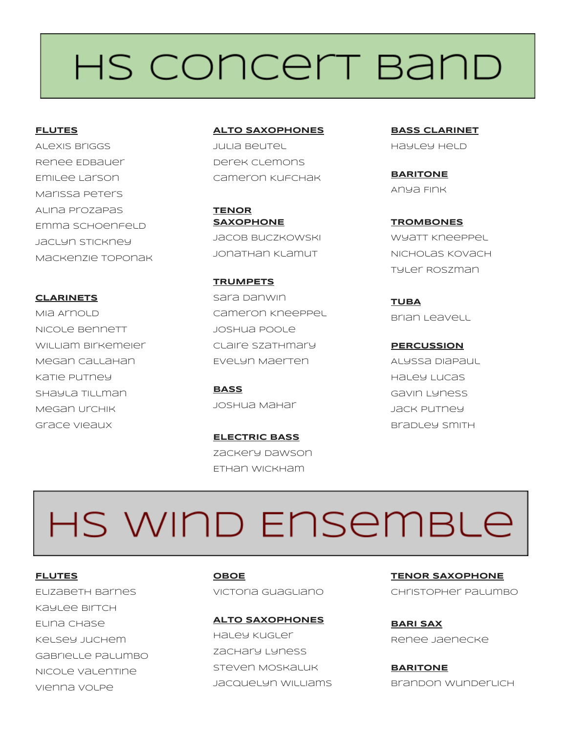# HS CONCELT BAND

**FLUTES**

Alexis Briggs Renee Edbauer Emilee Larson Marissa Peters Alina Prozapas Emma SCHOenFeLD Jaclyn Stickney Mackenzie Toponak

**CLARINETS**

MIA AMOLD Nicole Bennett William Birkemeier Megan Callahan Katie Putney Shayla Tillman Megan Urchik Grace Vieaux

**ALTO SAXOPHONES** Julia Beutel Derek Clemons Cameron Kufchak

**TENOR SAXOPHONE** Jacob Buczkowski Jonathan Klamut

**TRUMPETS** Sara Danwin Cameron Kneeppel Joshua Poole Claire Szathmary Evelyn Maerten

**BASS** Joshua Mahar

**ELECTRIC BASS** Zackery Dawson Ethan Wickham

**BASS CLARINET** Hayley Held

**BARITONE** Anya Fink

**TROMBONES** Wyatt Kneeppel Nicholas Kovach Tyler Roszman

**TUBA** Brian Leavell

**PERCUSSION** Alyssa DiaPaul Haley Lucas Gavin Lyness Jack Putney Bradley Smith

# HS WIND ENSEMBLE

**FLUTES** Elizabeth Barnes Kaylee Birtch Elina Chase Kelsey Juchem Gabrielle Palumbo Nicole Valentine Vienna Volpe

**OBOE** Victoria Guagliano

**ALTO SAXOPHONES** Haley Kugler Zachary Lyness Steven Moskaluk Jacquelyn Williams **TENOR SAXOPHONE** Christopher Palumbo

**BARI SAX** Renee Jaenecke

**BARITONE** Brandon Wunderlich